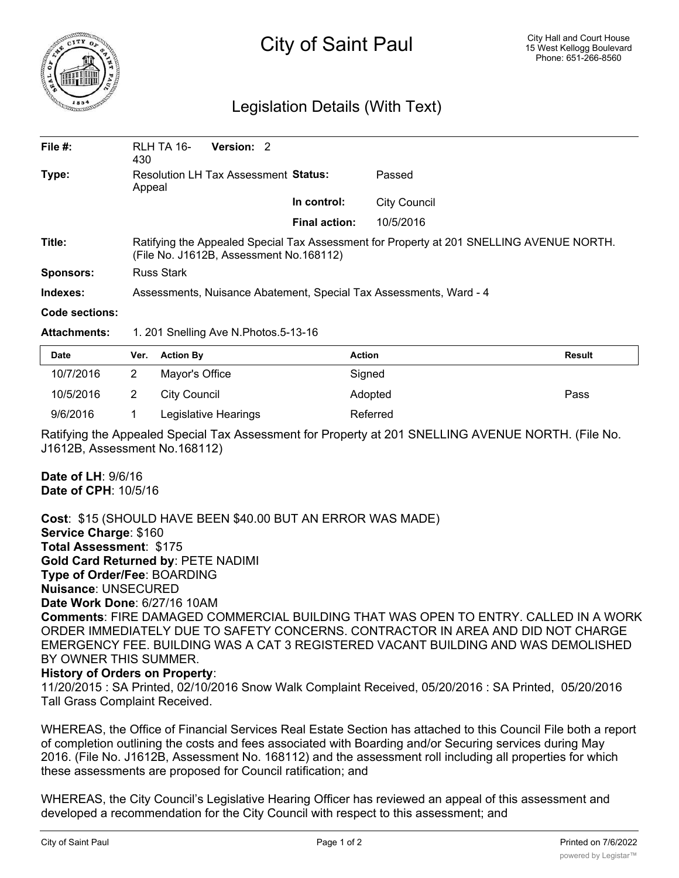

## City of Saint Paul

## Legislation Details (With Text)

| File $#$ :       | RLH TA 16-<br>430                                                                                                                   | Version: 2 |                      |              |  |  |
|------------------|-------------------------------------------------------------------------------------------------------------------------------------|------------|----------------------|--------------|--|--|
| Type:            | Resolution LH Tax Assessment Status:<br>Appeal                                                                                      |            |                      | Passed       |  |  |
|                  |                                                                                                                                     |            | In control:          | City Council |  |  |
|                  |                                                                                                                                     |            | <b>Final action:</b> | 10/5/2016    |  |  |
| Title:           | Ratifying the Appealed Special Tax Assessment for Property at 201 SNELLING AVENUE NORTH.<br>(File No. J1612B, Assessment No.168112) |            |                      |              |  |  |
| <b>Sponsors:</b> | Russ Stark                                                                                                                          |            |                      |              |  |  |
| Indexes:         | Assessments, Nuisance Abatement, Special Tax Assessments, Ward - 4                                                                  |            |                      |              |  |  |
| Code sections:   |                                                                                                                                     |            |                      |              |  |  |

**Attachments:** 1. 201 Snelling Ave N.Photos.5-13-16

| <b>Date</b> | Ver. Action By       | <b>Action</b> | <b>Result</b> |
|-------------|----------------------|---------------|---------------|
| 10/7/2016   | Mayor's Office       | Signed        |               |
| 10/5/2016   | City Council         | Adopted       | Pass          |
| 9/6/2016    | Legislative Hearings | Referred      |               |

Ratifying the Appealed Special Tax Assessment for Property at 201 SNELLING AVENUE NORTH. (File No. J1612B, Assessment No.168112)

**Date of LH**: 9/6/16 **Date of CPH**: 10/5/16

**Cost**: \$15 (SHOULD HAVE BEEN \$40.00 BUT AN ERROR WAS MADE) **Service Charge**: \$160 **Total Assessment**: \$175 **Gold Card Returned by**: PETE NADIMI **Type of Order/Fee**: BOARDING **Nuisance**: UNSECURED **Date Work Done**: 6/27/16 10AM **Comments**: FIRE DAMAGED COMMERCIAL BUILDING THAT WAS OPEN TO ENTRY. CALLED IN A WORK ORDER IMMEDIATELY DUE TO SAFETY CONCERNS. CONTRACTOR IN AREA AND DID NOT CHARGE EMERGENCY FEE. BUILDING WAS A CAT 3 REGISTERED VACANT BUILDING AND WAS DEMOLISHED BY OWNER THIS SUMMER.

## **History of Orders on Property**:

11/20/2015 : SA Printed, 02/10/2016 Snow Walk Complaint Received, 05/20/2016 : SA Printed, 05/20/2016 Tall Grass Complaint Received.

WHEREAS, the Office of Financial Services Real Estate Section has attached to this Council File both a report of completion outlining the costs and fees associated with Boarding and/or Securing services during May 2016. (File No. J1612B, Assessment No. 168112) and the assessment roll including all properties for which these assessments are proposed for Council ratification; and

WHEREAS, the City Council's Legislative Hearing Officer has reviewed an appeal of this assessment and developed a recommendation for the City Council with respect to this assessment; and